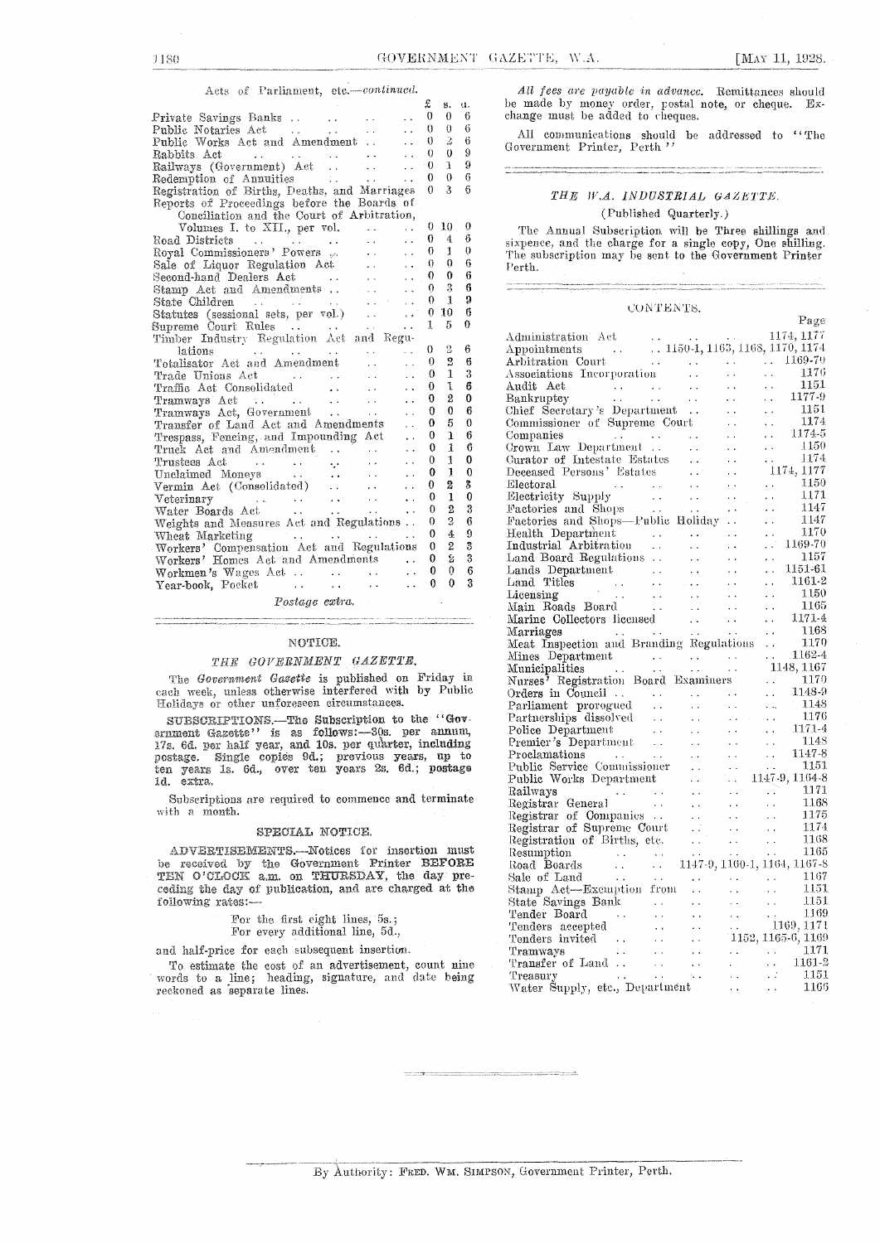#### Acts of Parliament, etc.-continued.

|                                                                                                                                                   | £        | s.             | ū.               |
|---------------------------------------------------------------------------------------------------------------------------------------------------|----------|----------------|------------------|
| $\ddot{\phantom{1}}$                                                                                                                              | $\theta$ | 0              | 6                |
| Public Notaries Act<br>$\mathbf{L}$<br>$\sim 10^{-11}$                                                                                            | 0        | $\theta$       | 6                |
| Public Works Act and Amendment                                                                                                                    | 0        | $\overline{2}$ | 6                |
| Rabbits Act                                                                                                                                       | 0        | $\theta$       | 9                |
| $\ddot{\phantom{0}}$                                                                                                                              | $\Omega$ | 1              | 9                |
|                                                                                                                                                   | 0        | $\Omega$       | 6                |
| Redemption of Annuities<br>Registration of Births, Deaths, and Marriages                                                                          | $\Omega$ | $\mathfrak{Z}$ | 6                |
| Reports of Proceedings before the Boards of                                                                                                       |          |                |                  |
| Conciliation and the Court of Arbitration,                                                                                                        |          |                |                  |
| Volumes I. to XII., per vol.<br>$\ddot{\phantom{0}}$<br>$\sim$ $\sim$                                                                             | 0        | 10             | $\boldsymbol{0}$ |
| Road Districts<br>$\ddot{\phantom{0}}$<br>$\mathcal{A}(\mathbf{x},t)$ and $\mathcal{A}(\mathbf{x},t)$ are $\mathcal{A}(\mathbf{x},t)$ .<br>$\sim$ | 0        | $\overline{4}$ | 6                |
| Royal Commissioners' Powers<br>$\mathbf{r}$<br>$\ddot{\phantom{a}}$                                                                               | 0        | 1              | $\bf{0}$         |
| $\hat{A}$ is $\hat{A}$<br>Sale of Liquor Regulation Act<br>$\ddot{\phantom{a}}$                                                                   | 0        | $\theta$       | 6                |
| Second-hand Dealers Act<br><b>Contractor</b>                                                                                                      | 0        | $\theta$       | 6                |
| Stamp Act and Amendments<br>$\ddot{\phantom{0}}$                                                                                                  | 0.       | $^{\circ}3$    | 6                |
|                                                                                                                                                   | 0        | $\mathbf{1}$   | 9                |
|                                                                                                                                                   | 0        | 10             | 6                |
|                                                                                                                                                   | 1        | 5              | 0                |
| State Children<br>Statutes (sessional sets, per vol.)<br>Supreme Court Rules<br>Timber Industry Regulation Act and Regu-                          |          |                |                  |
| .<br>lations<br>and the second services.<br><b>CALL CO</b><br><b>Service</b> State                                                                | 0        | 2              | 6                |
| Totalisator Act and Amendment<br>$\ddot{\phantom{0}}$<br>$\ddot{\phantom{a}}$                                                                     | $\theta$ | 2              | 6                |
| $\ddot{\phantom{a}}$<br>$\mathbf{r}$                                                                                                              | 0        | 1              | 3                |
| $\mathcal{L}_{\text{max}}$<br>$\ddotsc$                                                                                                           | 0        | ı              | 6                |
| Tramways Act<br>Tramways Act, Government<br>$\ddot{\phantom{a}}$                                                                                  | 0        | 2              | $\bf{0}$         |
|                                                                                                                                                   | 0        | $\mathbf{0}$   | 6                |
| Transfer of Land Act and Amendments                                                                                                               | 0        | 5              | $\bf{0}$         |
| Trespass, Fencing, and Impounding Act<br>$\ddot{\phantom{a}}$                                                                                     | 0        | $\mathbf{1}$   | 6                |
| Truck Act and Amendment<br>$\ddot{\phantom{a}}$                                                                                                   | 0        | 1              | 6                |
| $\Delta\mathbf{A}$ and<br>$\ddot{\phantom{0}}$                                                                                                    | 0        | 1              | 0                |
| Unclaimed Moneys<br>$\sim 10^{-10}$ km $^{-1}$<br>$\ddot{\phantom{0}}$<br><b>Carl Corp.</b>                                                       | 0        | 1              | $\overline{0}$   |
| $\ddot{\phantom{0}}$                                                                                                                              | 0        | 2              | 3                |
| $\sim 100$ km $^{-1}$<br>$\ddot{\phantom{a}}$                                                                                                     | 0        | $\mathbf{1}$   | $\theta$         |
| Veterinary<br>Water Boards Act (1999)<br>Contract (1999)<br>$\sim 10^{-1}$<br>$\ddot{\phantom{0}}$                                                | 0        | $\overline{2}$ | 3                |
| Weights and Measures Act and Regulations                                                                                                          | 0        | $\overline{2}$ | 6                |
| Wheat Marketing<br>and the same state of the<br>$\ddot{\phantom{0}}$                                                                              | 0        | $\overline{4}$ | 9                |
| Workers' Compensation Act and Regulations                                                                                                         | 0        | $\overline{2}$ | 3                |
| Workers' Homes Act and Amendments                                                                                                                 | 0        | s              | 3                |
| i.                                                                                                                                                | 0        | 0              | 6                |
| $\ddot{\phantom{0}}$                                                                                                                              | 0        | $\theta$       | 3                |
| Postage extra.                                                                                                                                    |          |                |                  |

## NOTICE.

## THE GOVERNMENT GAZETTE.

The Government Gasette is published on Friday in each week, unless otherwise interfered with by Public Holidays or other unforeseen circumstances.

SUBSCRIPTIONS.-The Subscription to the "Government Gazette'' is as follows:-30s per annum, 17s. 6d. per half year, and 10s. per quarter, including postage. Single copies 9d.; previous years, up to ten years 1s. 6d., over ten years 2s. 6d.; postage postage. 1d. extra.

Subscriptions are required to commence and terminate with a month.

#### SPECIAL NOTICE.

ADVERTISEMENTS.--Notices for insertion must be received by the Government Printer BEFORE<br>TEN O'CLOCK a.m. on THURSDAY, the day preceding the day of publication, and are charged at the following rates:

For the first eight lines, 5s.;

#### For every additional line, 5d.,

and half-price for each subsequent insertion.

To estimate the cost of an advertisement, count nine words to a line; heading, signature, and date being reckoned as separate lines.

All fees are payable in advance. Remittances should be made by money order, postal note, or cheque. Exchange must be added to cheques.

All communications should be addressed to ''The Government Printer, Perth ''

### THE W.A. INDUSTRIAL GAZETTE.

#### (Published Quarterly.)

The Annual Subscription will be Three shillings and sixpence, and the charge for a single copy, One shilling.<br>The subscription may be sent to the Government Printer Perth.

### CONTENTS.

|                                                                                                                                                                                                                                                                |                                                                                                                                                                                                                                      |                                                                                                                          |                                                                                                                                                      | Page                                                                                                 |
|----------------------------------------------------------------------------------------------------------------------------------------------------------------------------------------------------------------------------------------------------------------|--------------------------------------------------------------------------------------------------------------------------------------------------------------------------------------------------------------------------------------|--------------------------------------------------------------------------------------------------------------------------|------------------------------------------------------------------------------------------------------------------------------------------------------|------------------------------------------------------------------------------------------------------|
|                                                                                                                                                                                                                                                                |                                                                                                                                                                                                                                      |                                                                                                                          |                                                                                                                                                      |                                                                                                      |
|                                                                                                                                                                                                                                                                |                                                                                                                                                                                                                                      |                                                                                                                          |                                                                                                                                                      |                                                                                                      |
|                                                                                                                                                                                                                                                                |                                                                                                                                                                                                                                      |                                                                                                                          |                                                                                                                                                      |                                                                                                      |
|                                                                                                                                                                                                                                                                |                                                                                                                                                                                                                                      |                                                                                                                          |                                                                                                                                                      |                                                                                                      |
| Audit Act<br>Bankruptcy<br>Chief Secretary's Department<br>Commissioner of Supreme Court                                                                                                                                                                       |                                                                                                                                                                                                                                      | $\sim 10^{-1}$                                                                                                           |                                                                                                                                                      | $\begin{tabular}{ccccc} . & & 1176 \\ . & & 1151 \\ . & & 1177.9 \\ . & & & 1177.9 \\ \end{tabular}$ |
|                                                                                                                                                                                                                                                                | $\frac{1}{2} \frac{1}{2} \frac{1}{2}$ .                                                                                                                                                                                              | $\sim 10^{-1}$                                                                                                           |                                                                                                                                                      |                                                                                                      |
|                                                                                                                                                                                                                                                                |                                                                                                                                                                                                                                      | $\sim 10$                                                                                                                | $\sim$                                                                                                                                               | $\frac{1151}{1174}$<br>1174-5                                                                        |
|                                                                                                                                                                                                                                                                |                                                                                                                                                                                                                                      | $\sim$ $\sim$                                                                                                            | $\sim 10^{-11}$                                                                                                                                      |                                                                                                      |
| Companies<br>Crown Law Department                                                                                                                                                                                                                              |                                                                                                                                                                                                                                      | $\mathbf{v}^{\prime}$ , $\mathbf{v}^{\prime}$                                                                            | $\ddot{\phantom{a}}$                                                                                                                                 |                                                                                                      |
|                                                                                                                                                                                                                                                                | $\sim 10^{-1}$                                                                                                                                                                                                                       | $\sim 10^{-1}$                                                                                                           |                                                                                                                                                      | . $\frac{1150}{1174}$                                                                                |
|                                                                                                                                                                                                                                                                |                                                                                                                                                                                                                                      |                                                                                                                          |                                                                                                                                                      |                                                                                                      |
| Crown Law Department<br>Curator of Intestate Estates<br>Deceased Persons' Estates                                                                                                                                                                              | $\sim 10^6$                                                                                                                                                                                                                          | $\frac{1}{2} \frac{1}{2} \frac{1}{2} \frac{1}{2}$ .                                                                      |                                                                                                                                                      | 1174, 1177                                                                                           |
|                                                                                                                                                                                                                                                                |                                                                                                                                                                                                                                      |                                                                                                                          | $\mathbb{R}$                                                                                                                                         | 1150                                                                                                 |
|                                                                                                                                                                                                                                                                |                                                                                                                                                                                                                                      | $\alpha_{\rm{max}}$                                                                                                      | $\sim 10^{-1}$                                                                                                                                       | -1171                                                                                                |
|                                                                                                                                                                                                                                                                |                                                                                                                                                                                                                                      |                                                                                                                          | $\bar{\mathcal{L}}$ .                                                                                                                                | 1147                                                                                                 |
| Electoral<br>Electricity Supply<br>Factories and Shops<br>Factories and Shops—Fublic Holiday                                                                                                                                                                   |                                                                                                                                                                                                                                      |                                                                                                                          | $\ddot{\phantom{a}}$                                                                                                                                 | 1147                                                                                                 |
|                                                                                                                                                                                                                                                                |                                                                                                                                                                                                                                      |                                                                                                                          | $\sim$ $\sim$                                                                                                                                        | 1170                                                                                                 |
|                                                                                                                                                                                                                                                                |                                                                                                                                                                                                                                      |                                                                                                                          | ЦŮ,                                                                                                                                                  | 1169-70                                                                                              |
| Land Board Regulations                                                                                                                                                                                                                                         | $\sim 10^{-1}$                                                                                                                                                                                                                       | $\sim$ $\sim$                                                                                                            | $\ddotsc$                                                                                                                                            | -- 1157                                                                                              |
|                                                                                                                                                                                                                                                                |                                                                                                                                                                                                                                      |                                                                                                                          | $\mathbf{L}$                                                                                                                                         | 1151-61                                                                                              |
|                                                                                                                                                                                                                                                                |                                                                                                                                                                                                                                      |                                                                                                                          | $\mathcal{L}(\mathbf{r})$                                                                                                                            | 1161-2                                                                                               |
|                                                                                                                                                                                                                                                                |                                                                                                                                                                                                                                      |                                                                                                                          | $\sim$ $\sim$                                                                                                                                        | $\frac{1150}{1165} \ \frac{1171}{4}$                                                                 |
|                                                                                                                                                                                                                                                                |                                                                                                                                                                                                                                      |                                                                                                                          | с.                                                                                                                                                   |                                                                                                      |
|                                                                                                                                                                                                                                                                |                                                                                                                                                                                                                                      |                                                                                                                          | $\sim 10^{-11}$                                                                                                                                      |                                                                                                      |
|                                                                                                                                                                                                                                                                |                                                                                                                                                                                                                                      |                                                                                                                          | $\epsilon$ .                                                                                                                                         | $\frac{1168}{115}$                                                                                   |
| Land Board Regulations<br>Land Titles<br>Land Titles<br>Licensing<br>Main Roads Board<br>Marine Collectors licensed<br>Marriages<br>Marriages<br>Marriages<br>Marriages<br>Marriages<br>Marriages<br>Marriages<br>Marriages<br>Marriages<br>Marriages<br>Marri |                                                                                                                                                                                                                                      |                                                                                                                          | $\ddot{\phantom{0}}$                                                                                                                                 |                                                                                                      |
|                                                                                                                                                                                                                                                                |                                                                                                                                                                                                                                      |                                                                                                                          |                                                                                                                                                      | $.1162 - 4$                                                                                          |
|                                                                                                                                                                                                                                                                |                                                                                                                                                                                                                                      |                                                                                                                          |                                                                                                                                                      | 1148, 1167                                                                                           |
|                                                                                                                                                                                                                                                                |                                                                                                                                                                                                                                      |                                                                                                                          |                                                                                                                                                      | $\frac{1170}{11480}$                                                                                 |
|                                                                                                                                                                                                                                                                |                                                                                                                                                                                                                                      |                                                                                                                          | $\bar{\star}$ .                                                                                                                                      | 1148-9                                                                                               |
|                                                                                                                                                                                                                                                                |                                                                                                                                                                                                                                      | $\sim 100$ km s $^{-1}$ .                                                                                                | $\sim$ $\alpha$                                                                                                                                      |                                                                                                      |
|                                                                                                                                                                                                                                                                |                                                                                                                                                                                                                                      | $\mathcal{L}(\mathbf{x})$ . The $\mathcal{L}(\mathbf{x})$                                                                |                                                                                                                                                      | $\begin{tabular}{cc}1148 \\11714 \\ \end{tabular}$                                                   |
| Police Department<br>Premier's Department<br>Proclamations                                                                                                                                                                                                     | $\sim 10^{-11}$                                                                                                                                                                                                                      | $\sim 10^{-1}$                                                                                                           | $\mathbf{A}$ , $\mathbf{A}$ , $\mathbf{A}$                                                                                                           |                                                                                                      |
|                                                                                                                                                                                                                                                                | $\sim 10^{-1}$                                                                                                                                                                                                                       | $\sim 100$                                                                                                               | $\sim$                                                                                                                                               | - 1148                                                                                               |
|                                                                                                                                                                                                                                                                | $\sim 10^{-1}$                                                                                                                                                                                                                       | $\sim$ .                                                                                                                 | $\ddot{\phantom{0}}$<br>$\frac{1}{2}$                                                                                                                | 1147-8                                                                                               |
|                                                                                                                                                                                                                                                                |                                                                                                                                                                                                                                      |                                                                                                                          |                                                                                                                                                      |                                                                                                      |
| Proclamations<br>Public Service Commissioner<br>Public Works Department                                                                                                                                                                                        |                                                                                                                                                                                                                                      |                                                                                                                          | $\frac{1151}{1147-9,1164-8}$                                                                                                                         |                                                                                                      |
| Railways                                                                                                                                                                                                                                                       | $\sim 10^7$                                                                                                                                                                                                                          | $\sim$ $\sim$                                                                                                            | $\frac{1}{2}$                                                                                                                                        | 1171                                                                                                 |
| al $\begin{pmatrix} 1 & 1 \\ 1 & 1 \end{pmatrix}$<br>Registrar General                                                                                                                                                                                         | $\Delta$ - $\Delta$                                                                                                                                                                                                                  | $\epsilon$ .                                                                                                             |                                                                                                                                                      | -1168                                                                                                |
|                                                                                                                                                                                                                                                                |                                                                                                                                                                                                                                      |                                                                                                                          |                                                                                                                                                      |                                                                                                      |
|                                                                                                                                                                                                                                                                |                                                                                                                                                                                                                                      |                                                                                                                          |                                                                                                                                                      |                                                                                                      |
| Registrar venera:<br>Registrar of Companies<br>Registrar of Companies<br>Registration of Births, etc.<br>Registration of Births, etc.<br>Resumption<br>Resumption<br>Resumption<br>Registration of Births, etc.<br>$1147.9, 1160.1, 1164, 1167.8$              |                                                                                                                                                                                                                                      |                                                                                                                          |                                                                                                                                                      |                                                                                                      |
| Resumption<br>Road Boards<br>Sale of Land                                                                                                                                                                                                                      |                                                                                                                                                                                                                                      |                                                                                                                          |                                                                                                                                                      |                                                                                                      |
|                                                                                                                                                                                                                                                                |                                                                                                                                                                                                                                      |                                                                                                                          |                                                                                                                                                      |                                                                                                      |
|                                                                                                                                                                                                                                                                |                                                                                                                                                                                                                                      |                                                                                                                          | $\begin{array}{ccc} \ldots & \ldots & 1167 \ \ldots & \ldots & 1151 \ \ldots & \ldots & \ldots & 1151 \ \ldots & \ldots & \ldots & 1169 \end{array}$ |                                                                                                      |
| Stamp Act-Exemption from                                                                                                                                                                                                                                       |                                                                                                                                                                                                                                      |                                                                                                                          |                                                                                                                                                      |                                                                                                      |
|                                                                                                                                                                                                                                                                | $\sim 10^{-1}$                                                                                                                                                                                                                       |                                                                                                                          |                                                                                                                                                      |                                                                                                      |
|                                                                                                                                                                                                                                                                | $\sim 10^{-1}$                                                                                                                                                                                                                       |                                                                                                                          | $\frac{1169}{1169,1171}$                                                                                                                             |                                                                                                      |
| State Savings Bank<br>Tender Board<br>Tender Board<br>Tenders accepted<br>Tenders invited<br>Tensury<br>Tensury<br>Tensury<br>Tensury                                                                                                                          | $\sim 10^{-1}$                                                                                                                                                                                                                       |                                                                                                                          |                                                                                                                                                      |                                                                                                      |
|                                                                                                                                                                                                                                                                | $\sim 10^{-1}$                                                                                                                                                                                                                       |                                                                                                                          | 1152, 1165-6, 1169                                                                                                                                   |                                                                                                      |
|                                                                                                                                                                                                                                                                | $\begin{array}{ll} \mathbf{1} & \mathbf{1} & \mathbf{1} \\ \mathbf{1} & \mathbf{1} & \mathbf{1} \\ \mathbf{1} & \mathbf{1} & \mathbf{1} \\ \mathbf{1} & \mathbf{1} & \mathbf{1} \\ \mathbf{1} & \mathbf{1} & \mathbf{1} \end{array}$ |                                                                                                                          | $\begin{array}{cccc} \ldots & \ldots & 1171 \ \ldots & \ldots & 1161-2 \ \ldots & \ldots & 1151 \ \ldots & \ldots & 1166 \end{array}$                |                                                                                                      |
|                                                                                                                                                                                                                                                                |                                                                                                                                                                                                                                      | $\epsilon_{\rm{eff}}$<br>$\begin{array}{c} \mathcal{L}_1 \\ \mathcal{L}_2 \\ \mathcal{L}_3 \\ \mathcal{L}_4 \end{array}$ |                                                                                                                                                      |                                                                                                      |
| Treasury<br>treasury<br>Water Supply, etc., Department                                                                                                                                                                                                         |                                                                                                                                                                                                                                      |                                                                                                                          |                                                                                                                                                      |                                                                                                      |
|                                                                                                                                                                                                                                                                |                                                                                                                                                                                                                                      |                                                                                                                          |                                                                                                                                                      |                                                                                                      |

.<br>Prie ministra populacione del continuo del continuo del composicione del continuo del continuo del composicio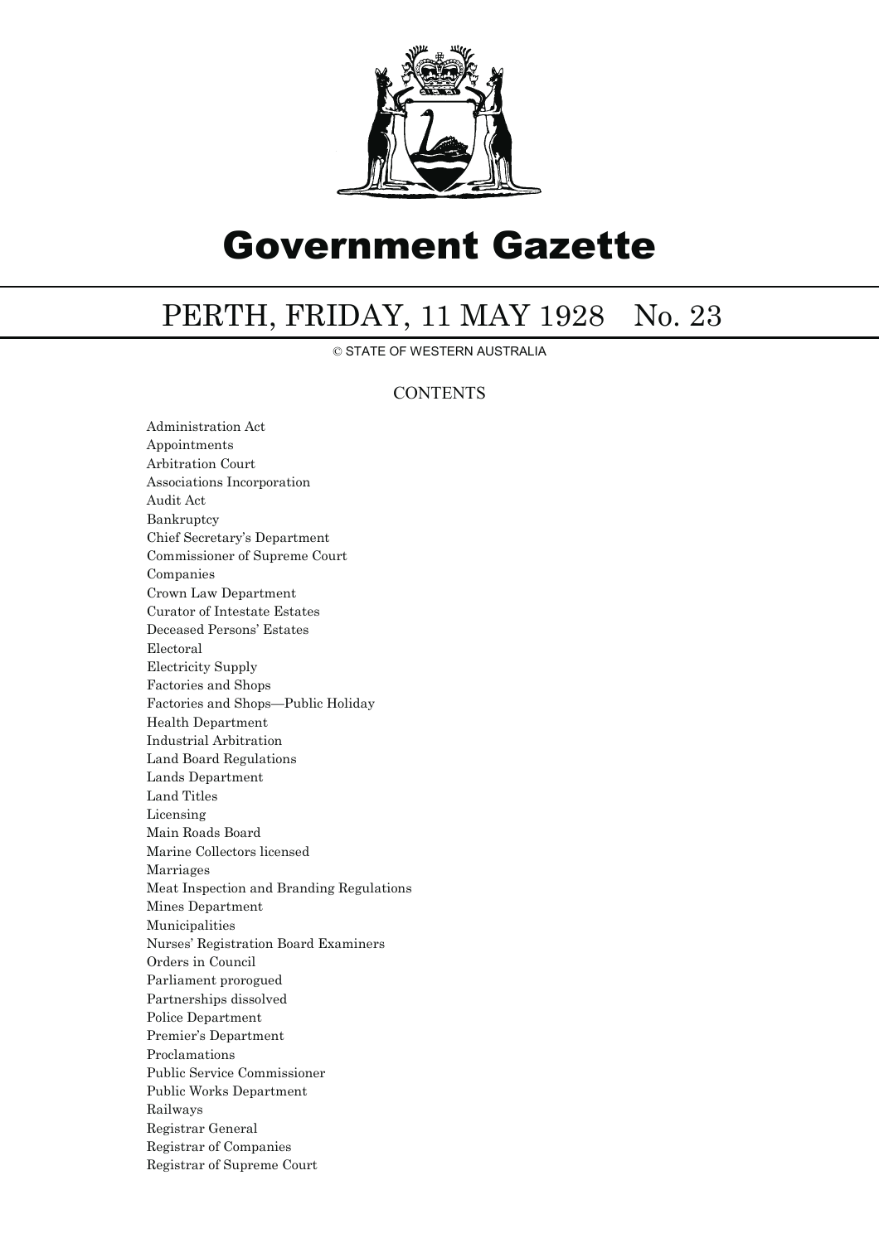

# Government Gazette

## PERTH, FRIDAY, 11 MAY 1928 No. 23

© STATE OF WESTERN AUSTRALIA

## **CONTENTS**

Administration Act Appointments Arbitration Court Associations Incorporation Audit Act Bankruptcy Chief Secretary's Department Commissioner of Supreme Court Companies Crown Law Department Curator of Intestate Estates Deceased Persons' Estates Electoral Electricity Supply Factories and Shops Factories and Shops—Public Holiday Health Department Industrial Arbitration Land Board Regulations Lands Department Land Titles Licensing Main Roads Board Marine Collectors licensed Marriages Meat Inspection and Branding Regulations Mines Department Municipalities Nurses' Registration Board Examiners Orders in Council Parliament prorogued Partnerships dissolved Police Department Premier's Department Proclamations Public Service Commissioner Public Works Department Railways Registrar General Registrar of Companies Registrar of Supreme Court